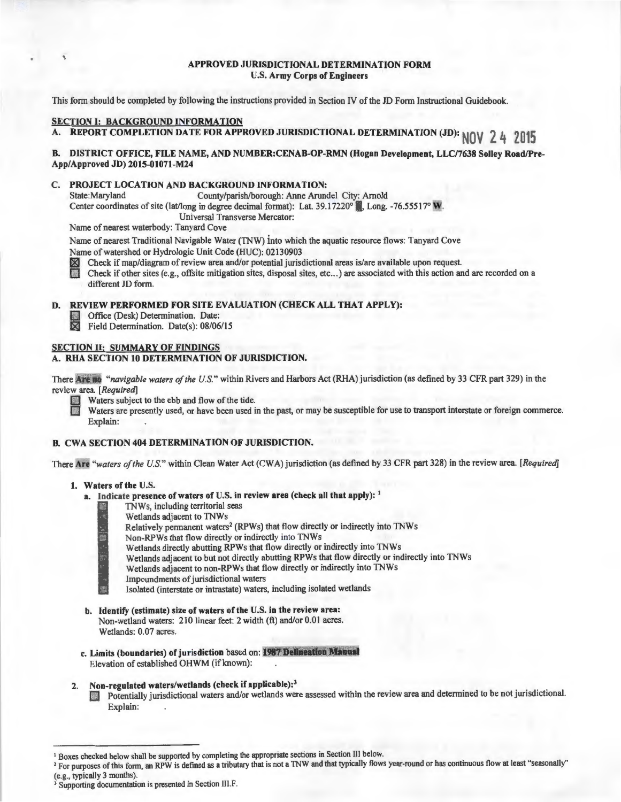#### **APPROVED JURISDICTIONAL DETERMINATION FORM U.S. Army Corps of Engineers**

This form should be completed by following the instructions provided in Section IV of the JD Form Instructional Guidebook.

### **SECTION I: BACKGROUND INFORMATION**

,

A. REPORT COMPLETION DATE FOR APPROVED JURISDICTIONAL DETERMINATION (JD): **NOV** 2 4 2015

#### **B. DISTRICT OFFICE, FILE NAME, AND NUMBER:CENAB-OP-RMN (Hogan Development, LLC/7638 Solley Road/Pre-App/Approved JD) 2015-01071-M24**

# **C. PROJECT LOCATION AND BACKGROUND INFORMATION:**

County/parish/borough: Anne Arundel City: Arnold Center coordinates of site (lat/long in degree decimal format): Lat. 39.17220° , Long. -76.55517° **W**. Universal Transverse Mercator:

Name of nearest waterbody: Tanyard Cove

Name of nearest Traditional Navigable Water (TNW) into which the aquatic resource flows: Tanyard Cove Name of watershed or Hydrologic Unit Code (HUC): 02130903<br>
M Check if map/diagram of review area and/or potential juris<br>
Check if other sites (e.g., offsite mitigation sites, disposal s

~ Check if map/diagram of review area and/or potential jurisdictional areas is/are available upon request.

Check if other sites (e.g., offsite mitigation sites, disposal sites, etc...) are associated with this action and are recorded on a different JD form.

#### **D. REVIEW PERFORMED FOR SITE EVALUATION (CHECK ALL THAT APPLY):**

**1 • Office (Desk) Determination. Date:**<br> **2 • Field Determination. Date(s): 08/06** 

Field Determination. Date(s): 08/06/15

#### **SECTION II: SUMMARY OF FINDINGS**

#### **A. RHA SECTION 10 DETERMINATION OF JURISDICTION.**

There *Are* no "navigable waters of the U.S." within Rivers and Harbors Act (RHA) jurisdiction (as defined by 33 CFR part 329) in the review area. *[Required]* 

Waters are presently used, or have been used in the past, or may be susceptible for use to transport interstate or foreign commerce. Explain:

# **B. CWA SECTION 404 DETERMINATION OF JURISDICTION.**

There Are "waters of the U.S." within Clean Water Act (CWA) jurisdiction (as defined by 33 CFR part 328) in the review area. [Required]

#### **1. Waters of the** U.S.

- **a. Indicate presence of waters of** U.S. **in review area (check all that apply):** <sup>1</sup>
	- TNWs, including territorial seas
		- Wetlands adjacent to TNWs
		- Relatively permanent waters<sup>2</sup> (RPWs) that flow directly or indirectly into TNWs
		- Non-RPWs that flow directly or indirectly into TNWs
		- Wetlands directly abutting RPWs that flow directly or indirectly into TNWs
		- Wetlands adjacent to but not directly abutting RPWs that flow directly or indirectly into TNWs
		- § Wetlands adjacent to non-RPWs that flow directly or indirectly into TNWs
		- **0** Impoundments of jurisdictional waters
		- Isolated (interstate or intrastate) waters, including isolated wetlands
- **b. Identify (estimate) size of waters of the** U.S. **in the review area:**  Non-wetland waters: 210 linear feet: 2 width (ft) and/or 0.01 acres. Wetlands: 0.07 acres.
- **c. Limits (boundaries) of juris diction based on: 1987 Delineation Manual** Elevation of established OHWM (if known):

# **2. Non-regulated waters/wetlands (check if applicable): <sup>3</sup>**

**D** Potentially jurisdictional waters and/or wetlands were assessed within the review area and determined to be not jurisdictional. Explain:

- <sup>2</sup> For purposes of this form, an RPW is defined as a tributary that is not a TNW and that typically flows year-round or has continuous flow at least "seasonally"
- 

<sup>&</sup>lt;sup>1</sup> Boxes checked below shall be supported by completing the appropriate sections in Section III below.

<sup>(</sup>e.g., typically 3 months).  $3$  Supporting documentation is presented in Section III.F.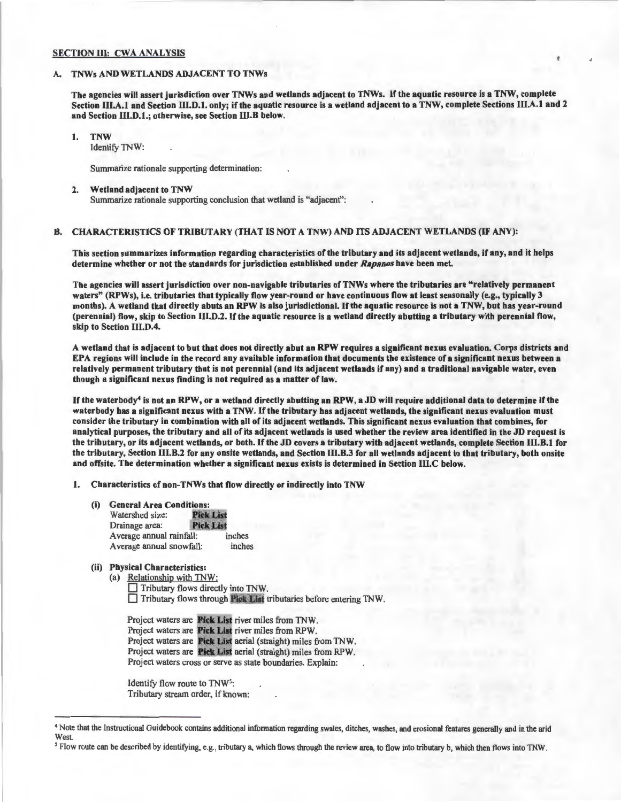#### SECTION III: CWA ANALYSIS

#### TNWs AND WETLANDS ADJACENT TO TNWs

The agencies will assert jurisdiction over TNWs and wetlands adjacent to TNWs. If the aquatic resource is a TNW, complete Section III.A.1 and Section III.D.1. only; if the aquatic resource is a wetland adjacent to a TNW, complete Sections III.A.1 and 2 and Section III.D.l.; otherwise, see Section III.B below.

I. TNW

Identify TNW:

Summarize rationale supporting determination:

2. Wetland adjacent to TNW Summarize rationale supporting conclusion that wetland is "adjacent":

# B. CHARACTERISTICS OF TRIBUTARY (THAT IS NOT A TNW) AND ITS ADJACENT WETLANDS (IF ANY):

This section summarizes information regarding characteristics of the tributary and its adjacent wetlands, if any, and it helps determine whether or not the standards for jurisdiction established under *Rapanos* have been met.

The agencies will assert jurisdiction over non-navigable tributaries of TNWs where the tributaries are "relatively permanent waters" (RPWs), i.e. tributaries that typically flow year-round or have continuous flow at least seasonally (e.g., typically 3 months). A wetland that directly abuts an RPW is also jurisdictional. If the aquatic resource is not a TNW, but has year-round (perennial) flow, skip to Section III.D.2. If the aquatic resource is a wetland directly abutting a tributary with perennial flow, skip to Section Ill.D.4.

A wetland that is adjacent to but that does not directly abut an RPW requires a significant nexus evaluation. Corps districts and EPA regions will include in the record any available information that documents the existence of a significant nexus between a relatively permanent tributary that is not perennial (and its adjacent wetlands if any) and a traditional navigable water, even though a significant nexus finding is not required as a matter of law.

If the waterbody<sup>4</sup> is not an RPW, or a wetland directly abutting an RPW, a JD will require additional data to determine if the waterbody has a significant nexus with a TNW. If the tributary has adjacent wetlands, the significant nexus evaluation must consider the tributary in combination with all of its adjacent wetlands. This significant nexus evaluation that combines, for analytical purposes, the tributary and all of its adjacent wetlands is used whether the review area identified in the JD request is the tributary, or its adjacent wetlands, or both. If the JD covers a tributary with adjacent wetlands, complete Section III.B.I for the tributary, Section III.B.2 for any onsite wetlands, and Section III.B.3 for all wetlands adjacent to that tributary, both onsite and offsite. The determination whether a significant nexus exists is determined in Section lll.C below.

I. Characteristics of non-TNWs that flow directly or indirectly into TNW

(i) General Area Conditions:

| Watershed size:          | <b>Pick List</b> |        |
|--------------------------|------------------|--------|
| Drainage area:           | <b>Pick List</b> |        |
| Average annual rainfall: |                  | inches |
| Average annual snowfall: |                  | inches |

(ii) Physical Characteristics:

(a) Relationship with TNW: Tributary flows directly into TNW. □ Tributary flows through Pick List tributaries before entering TNW.

Project waters are Pick List river miles from TNW. Project waters are **Pick List** river miles from RPW. Project waters are Pick List aerial (straight) miles from TNW. Project waters are Pick List aerial (straight) miles from RPW. Project waters cross or serve as state boundaries. Explain:

Identify flow route to TNW5: Tributary stream order, if known:

<sup>4</sup> Note that the Instructional Guidebook contains additional information regarding swales, ditches, washes, and erosional features generally and in the arid West.

Flow route can be described by identifying, e.g., tributary a, which flows through the review area, to flow into tributary b, which then flows into TNW.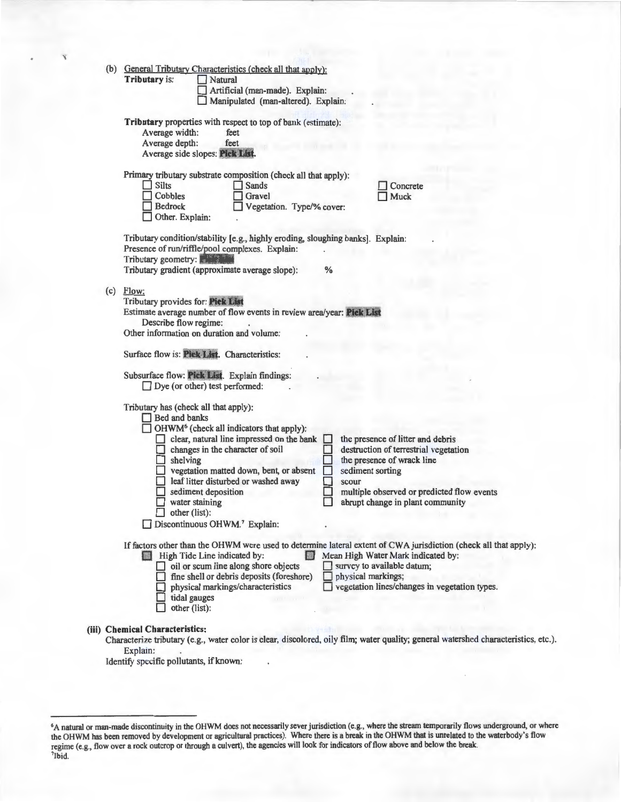|     | (b) General Tributary Characteristics (check all that apply):<br><b>Tributary is:</b><br>Natural<br>Artificial (man-made). Explain:<br>Manipulated (man-altered). Explain:                                                                                                                                                                                                                                                                                                    |
|-----|-------------------------------------------------------------------------------------------------------------------------------------------------------------------------------------------------------------------------------------------------------------------------------------------------------------------------------------------------------------------------------------------------------------------------------------------------------------------------------|
|     | Tributary properties with respect to top of bank (estimate):<br>Average width:<br>feet<br>Average depth:<br>feet<br>Average side slopes: Pick List.                                                                                                                                                                                                                                                                                                                           |
|     | Primary tributary substrate composition (check all that apply):<br>Silts<br>Sands<br>ш<br>Concrete<br>Cobbles<br>Gravel<br>Muck<br><b>Bedrock</b><br>Vegetation. Type/% cover:<br>Other. Explain:                                                                                                                                                                                                                                                                             |
|     | Tributary condition/stability [e.g., highly eroding, sloughing banks]. Explain:<br>Presence of run/riffle/pool complexes. Explain:<br>Tributary geometry:<br>Tributary gradient (approximate average slope):<br>$\%$                                                                                                                                                                                                                                                          |
| (c) | Flow:<br>Tributary provides for: Pick List<br>Estimate average number of flow events in review area/year: Pick List<br>Describe flow regime:<br>Other information on duration and volume:<br>Surface flow is: Pick List. Characteristics:                                                                                                                                                                                                                                     |
|     | Subsurface flow: Pick List. Explain findings:<br>$\Box$ Dye (or other) test performed:<br>Tributary has (check all that apply):<br>Bed and banks<br>$\Box$ OHWM <sup>6</sup> (check all indicators that apply):                                                                                                                                                                                                                                                               |
|     | clear, natural line impressed on the bank<br>the presence of litter and debris<br>ш<br>changes in the character of soil<br>destruction of terrestrial vegetation<br>$\Box$ shelving<br>the presence of wrack line<br>vegetation matted down, bent, or absent<br>sediment sorting<br>leaf litter disturbed or washed away<br>scour<br>sediment deposition<br>multiple observed or predicted flow events<br>water staining<br>abrupt change in plant community<br>other (list): |
|     | Discontinuous OHWM.7 Explain:                                                                                                                                                                                                                                                                                                                                                                                                                                                 |
|     | If factors other than the OHWM were used to determine lateral extent of CWA jurisdiction (check all that apply):<br>Mean High Water Mark indicated by:<br>High Tide Line indicated by:<br>oil or scum line along shore objects<br>survey to available datum;<br>$\Box$ fine shell or debris deposits (foreshore)<br>physical markings;<br>□ vegetation lines/changes in vegetation types.<br>physical markings/characteristics<br>tidal gauges<br>other (list):               |
|     | (iii) Chemical Characteristics:<br>Characterize tributary (e.g., water color is clear, discolored, oily film; water quality; general watershed characteristics, etc.).<br>Explain:<br>Identify specific pollutants, if known:                                                                                                                                                                                                                                                 |

<sup>6</sup>A natural or man-made discontinuity in the OHWM does not necessarily sever jurisdiction (e.g., where the stream temporarily flows underground, or where the OHWM has been removed by development or agricultural practices). Where there is a break in the OHWM that is unrelated to the waterbody's flow regime (e.g., flow over a rock outcrop or through a culvert), the agencies will look for indicators of flow above and below the break.<br><sup>7</sup>Ibid.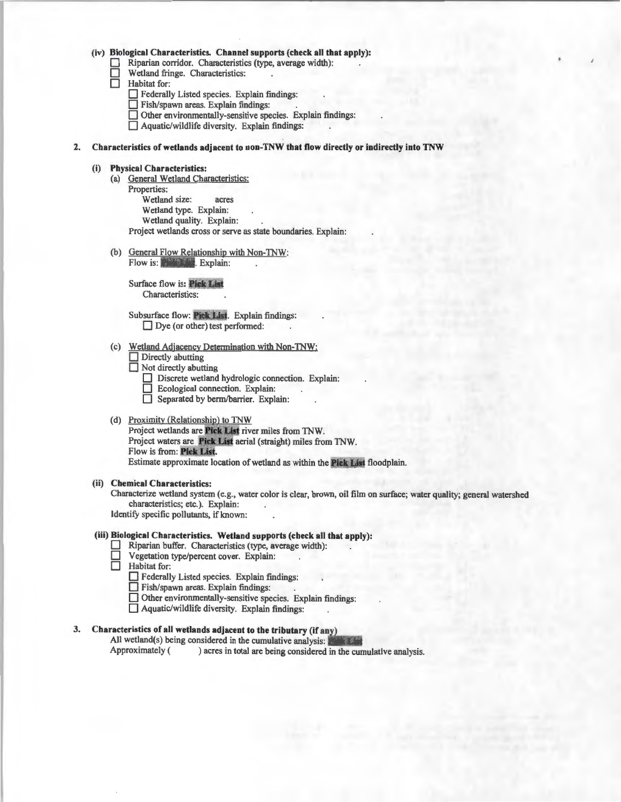#### (iv) Biological Characteristics. Channel supports (check all that apply):

Riparian corridor. Characteristics (type, average width):<br>
Wetland fringe. Characteristics:<br>
Habitat for:

Wetland fringe. Characteristics:

Habitat for:

- $\Box$  Federally Listed species. Explain findings:
- D Fish/spawn areas. Explain findings:

D Other environmentally-sensitive species. Explain findings:

- $\Box$  Aquatic/wildlife diversity. Explain findings:
- 2. Characteristics of wetlands adjacent to non-TNW that flow directly or indirectly into TNW

#### (i) Physical Characteristics:

- (a) General Wetland Characteristics: Properties: Wetland size: acres Wetland type. Explain: Wetland quality. Explain: Project wetlands cross or serve as state boundaries. Explain:
- (b) General Flow Relationship with Non-TNW: Flow is: Explain:

Surface flow is: Pick List Characteristics:

Subsurface flow: Pick List. Explain findings:  $\Box$  Dye (or other) test performed:

- (c) Wetland Adjacency Determination with Non-TNW:
	- $\Box$  Directly abutting
	- $\Box$  Not directly abutting
		- Discrete wetland hydrologic connection. Explain:
		- D Ecological connection. Explain:
		- □ Separated by berm/barrier. Explain:

#### (d) Proximity (Relationship) to TNW

Project wetlands are **Pick List** river miles from TNW. Project waters are Pick List aerial (straight) miles from TNW. Flow is from: Pick List. Estimate approximate location of wetland as within the Pick List floodplain.

#### (ii) Chemical Characteristics:

Characterize wetland system (e.g., water color is clear, brown, oil film on surface; water quality; general watershed characteristics; etc.). Explain:

Identify specific pollutants, if known:

#### (iii) Biological Characteristics. Wetland supports (check all that apply):

- Riparian buffer. Characteristics (type, average width):
- $\Box$  Vegetation type/percent cover. Explain:<br>
Habitat for:
- Habitat for:
	- D Federally Listed species. Explain findings:
	- $\Box$  Fish/spawn areas. Explain findings:<br> $\Box$  Other environmentally-sensitive sne

Other environmentally-sensitive species. Explain findings:

 $\Box$  Aquatic/wildlife diversity. Explain findings:

# 3. Characteristics of all wetlands adjacent to the tributary (if any)

All wetland(s) being considered in the cumulative analysis:

Approximately ( ) acres in total are being considered in the cumulative analysis.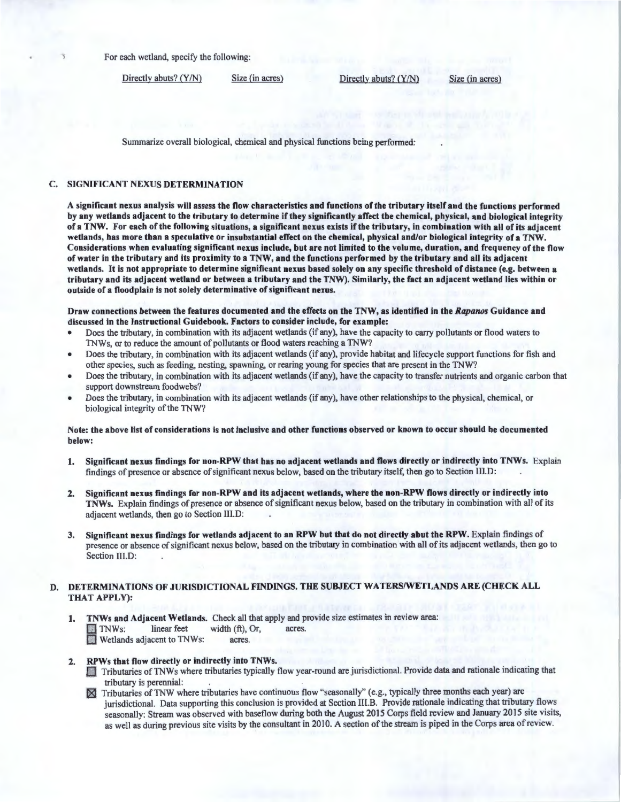For each wetland, specify the following:

Directly abuts? (Y/N) Size (in acres) Directly abuts? (Y/N) Size (in acres)

Summarize overall biological, chemical and physical functions being performed:

#### C. SIGNIFICANT NEXUS DETERMINATION

A significant nexus analysis will assess the flow characteristics and functions of the tributary itself and the functions performed by any wetlands adjacent to the tributary to determine if they significantly affect the chemical, physical, and biological integrity of a TNW. For each of the following situations, a significant nexus exists if the tributary, in combination with all of its adjacent wetlands, has more than a speculative or insubstantial effect on the chemical, physical and/or biological integrity of a TNW. Considerations when evaluating significant nexus include, but are not limited to the volume, duration, and frequency of the flow of water in the tributary and its proximity to a TNW, and the functions performed by the tributary and all its adjacent wetlands. It is not appropriate to determine significant nexus based solely on any specific threshold of distance (e.g. between a tributary and its adjacent wetland or between a tributary and the TNW). Similarly, the fact an adjacent wetland lies within or outside of a floodplain is not solely determinative of significant nexus.

Draw connections between the features documented and the effects on the TNW, as identified in the Rapanos Guidance and discussed in the Instructional Guidebook. Factors to consider include, for example:

- Does the tributary, in combination with its adjacent wetlands (if any), have the capacity to carry pollutants or flood waters to TNWs, or to reduce the amount of pollutants or flood waters reaching a TNW?
- Does the tributary, in combination with its adjacent wetlands (if any), provide habitat and lifecycle support functions for fish and other species, such as feeding, nesting, spawning, or rearing young for species that are present in the TNW?
- Does the tributary, in combination with its adjacent wetlands (if any), have the capacity to transfer nutrients and organic carbon that support downstream foodwebs?
- Does the tributary, in combination with its adjacent wetlands (if any), have other relationships to the physical, chemical, or biological integrity of the TNW?

### Note: the above list of considerations is not inclusive and other functions observed or known to occur should be documented below:

- I. Significant nexus findings for non-RPW that has no adjacent wetlands and flows directly or indirectly into TNWs. Explain findings of presence or absence of significant nexus below, based on the tributary itself, then go to Section III.D:
- 2. Significant nexus findings for non-RPW and its adjacent wetlands, where the non-RPW flows directly or indirectly into TNWs. Explain findings of presence or absence of significant nexus below, based on the tributary in combination with all of its adjacent wetlands, then go to Section 111.D:
- 3. Significant nexus findings for wetlands adjacent to an RPW but that do not directly abut the RPW. Explain findings of presence or absence of significant nexus below, based on the tributary in combination with all of its adjacent wetlands, then go to Section III.D:

#### D. DETERMINATIONS OF JURISDICTIONAL FINDINGS. THE SUBJECT WATERS/WETLANDS ARE (CHECK ALL THAT APPLY):

I. TNWs and Adjacent Wetlands. Check all that apply and provide size estimates in review area:  $\Box$  TNWs: linear feet width (ft), Or, acres. to Wetlands adjacent to TNWs: acres.

- 2. RPWs that flow directly or indirectly into TNWs.<br>Tributaries of TNWs where tributaries typically flow year-round are jurisdictional. Provide data and rationale indicating that tributary is perennial:
	- ~ Tributaries ofTNW where tributaries have continuous flow "seasonally" (e.g., typically three months each year) are jurisdictional. Data supporting this conclusion is provided at Section III.B. Provide rationale indicating that tributary flows seasonally: Stream was observed with baseflow during both the August 2015 Corps field review and January 2015 site visits, as well as during previous site visits by the consultant in 2010. A section of the stream is piped in the Corps area of review.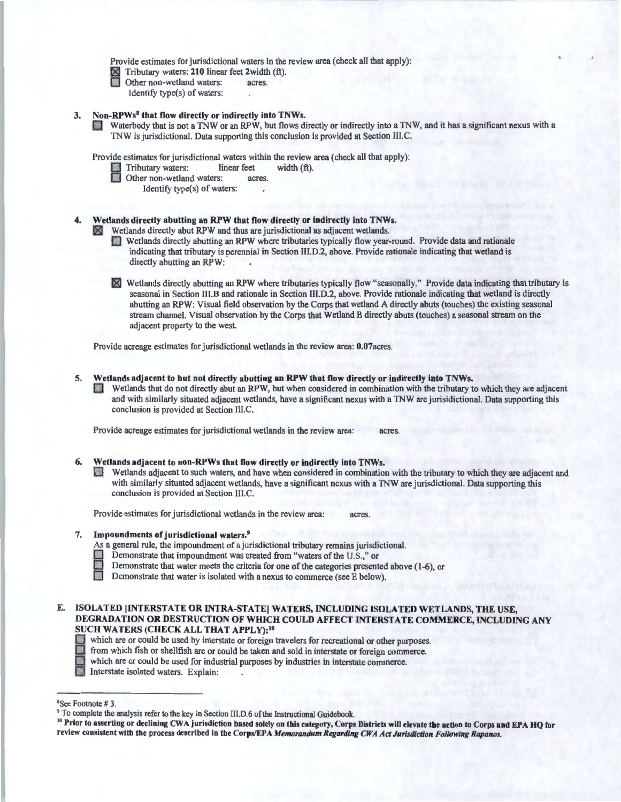Provide estimates for jurisdictional waters in the review area (check all that apply):

 $\times$  Tributary waters: 210 linear feet 2width (ft).<br>
Other non-wetland waters: acres.

Identify type(s) of waters:

#### 3. Non-RPWs<sup>8</sup> that flow directly or indirectly into TNWs.

Waterbody that is not a TNW or an RPW, but flows directly or indirectly into a TNW, and it has a significant nexus with a TNW is jurisdictional. Data supporting this conclusion is provided at Section III.C.

Provide estimates for jurisdictional waters within the review area (check all that apply):<br>
Tributary waters: linear feet width  $(ft)$ .<br>
Other non-wetland waters: acres

Other non-wetland waters:

Identify type(s) of waters:

### Wetlands directly abutting an RPW that flow directly or indirectly into TNWs.

 $\mathbb{R}$  Wetlands directly abut RPW and thus are jurisdictional as adjacent wetlands.

- 0 Wetlands directly abutting an RPW where tributaries typically flow year-round. Provide data and rationale indicating that tributary is perennial in Section III.D.2, above. Provide rationale indicating that wetland is directly abutting an RPW:
- X Wetlands directly abutting an RPW where tributaries typically flow "seasonally." Provide data indicating that tributary is seasonal in Section III.B and rationale in Section III.D.2, above. Provide rationale indicating that wetland is directly abutting an RPW: Visual field observation by the Corps that wetland A directly abuts (touches) the existing seasonal stream channel. Visual observation by the Corps that Wetland B directly abuts (touches) a seasonal stream on the adjacent property to the west.

Provide acreage estimates for jurisdictional wetlands in the review area: 0.07acres.

5. Wetlands adjacent to but not directly abutting an RPW that flow directly or indirectly into TNWs.

0 Wetlands that do not directly abut an RPW, but when considered in combination with the tributary to which they are adjacent and with similarly situated adjacent wetlands, have a significant nexus with a TNW are jurisidictional. Data supporting this conclusion is provided at Section III.C.

Provide acreage estimates for jurisdictional wetlands in the review area: acres.

#### 6. Wetlands adjacent to non-RPWs that flow directly or indirectly into TNWs.

D Wetlands adjacent to such waters, and have when considered in combination with the tributary to which they are adjacent and with similarly situated adjacent wetlands, have a significant nexus with a TNW are jurisdictional. Data supporting this conclusion is provided at Section III.C.

Provide estimates for jurisdictional wetlands in the review area: acres.

#### 7. Impoundments of jurisdictional waters.9

- As a general rule, the impoundment of a jurisdictional tributary remains jurisdictional.<br>
Demonstrate that impoundment was created from "waters of the U.S.," or<br>
Demonstrate that water meets the criteria for one of the cat
- 
- Demonstrate that impoundment was created from "waters of the U.S.," or<br>Demonstrate that water meets the criteria for one of the categories presented above (1-6), or
- Demonstrate that water is isolated with a nexus to commerce (see E below).
- E. ISOLATED [INTERSTATE OR INTRA-STATE] WATERS, INCLUDING ISOLATED WETLANDS, THE USE, DEGRADATION OR DESTRUCTION OF WHICH COULD AFFECT INTERSTATE COMMERCE, INCLUDING ANY SUCH WATERS (CHECK ALL THAT APPLY): <sup>10</sup>
	- which are or could be used by interstate or foreign travelers for recreational or other purposes.<br>from which fish or shellfish are or could be taken and sold in interstate or foreign commerce.
	-

which are or could be used for industrial purposes by industries in interstate commerce.

Interstate isolated waters. Explain:

<sup>&</sup>lt;sup>8</sup>See Footnote # 3.<br><sup>9</sup> To complete the analysis refer to the key in Section III.D.6 of the Instructional Guidebook.<br><sup>10</sup> Prior to asserting or declining CWA jurisdiction based solely on this category, Corps Districts wil review consistent with the process described in the Corps/EPA *Memorandum Regarding CWA Act Jurisdiction Following Rapanos.*